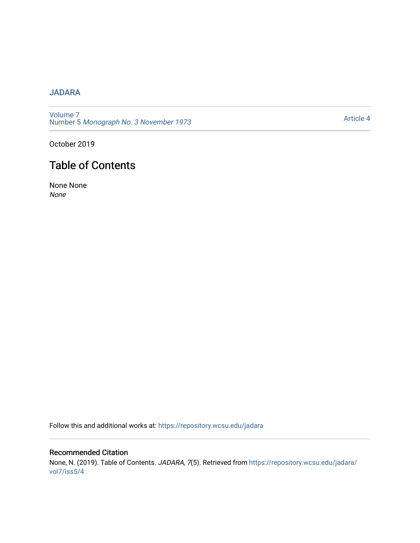## [JADARA](https://repository.wcsu.edu/jadara)

[Volume 7](https://repository.wcsu.edu/jadara/vol7)  Number 5 [Monograph No. 3 November 1973](https://repository.wcsu.edu/jadara/vol7/iss5)

[Article 4](https://repository.wcsu.edu/jadara/vol7/iss5/4) 

October 2019

# Table of Contents

None None None

Follow this and additional works at: [https://repository.wcsu.edu/jadara](https://repository.wcsu.edu/jadara?utm_source=repository.wcsu.edu%2Fjadara%2Fvol7%2Fiss5%2F4&utm_medium=PDF&utm_campaign=PDFCoverPages)

Recommended Citation None, N. (2019). Table of Contents. JADARA, 7(5). Retrieved from [https://repository.wcsu.edu/jadara/](https://repository.wcsu.edu/jadara/vol7/iss5/4?utm_source=repository.wcsu.edu%2Fjadara%2Fvol7%2Fiss5%2F4&utm_medium=PDF&utm_campaign=PDFCoverPages) [vol7/iss5/4](https://repository.wcsu.edu/jadara/vol7/iss5/4?utm_source=repository.wcsu.edu%2Fjadara%2Fvol7%2Fiss5%2F4&utm_medium=PDF&utm_campaign=PDFCoverPages)